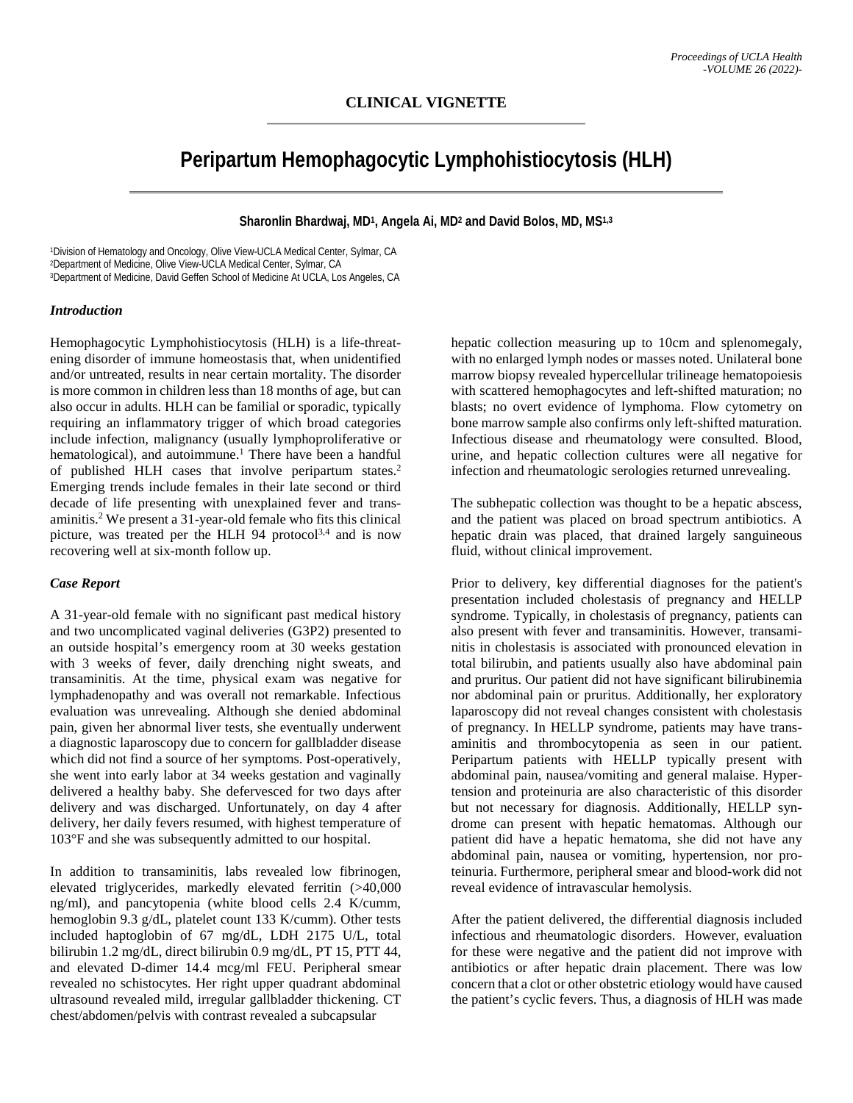# **Peripartum Hemophagocytic Lymphohistiocytosis (HLH)**

# **Sharonlin Bhardwaj, MD1, Angela Ai, MD2 and David Bolos, MD, MS1,3**

1Division of Hematology and Oncology, Olive View-UCLA Medical Center, Sylmar, CA<br>2Department of Medicine, Olive View-UCLA Medical Center, Sylmar, CA<br>3Department of Medicine, David Geffen School of Medicine At UCLA, Los Ang

#### *Introduction*

Hemophagocytic Lymphohistiocytosis (HLH) is a life-threatening disorder of immune homeostasis that, when unidentified and/or untreated, results in near certain mortality. The disorder is more common in children less than 18 months of age, but can also occur in adults. HLH can be familial or sporadic, typically requiring an inflammatory trigger of which broad categories include infection, malignancy (usually lymphoproliferative or hematological), and autoimmune.<sup>1</sup> There have been a handful of published HLH cases that involve peripartum states.<sup>2</sup> Emerging trends include females in their late second or third decade of life presenting with unexplained fever and transaminitis.2 We present a 31-year-old female who fits this clinical picture, was treated per the HLH 94 protocol<sup>3,4</sup> and is now recovering well at six-month follow up.

#### *Case Report*

A 31-year-old female with no significant past medical history and two uncomplicated vaginal deliveries (G3P2) presented to an outside hospital's emergency room at 30 weeks gestation with 3 weeks of fever, daily drenching night sweats, and transaminitis. At the time, physical exam was negative for lymphadenopathy and was overall not remarkable. Infectious evaluation was unrevealing. Although she denied abdominal pain, given her abnormal liver tests, she eventually underwent a diagnostic laparoscopy due to concern for gallbladder disease which did not find a source of her symptoms. Post-operatively, she went into early labor at 34 weeks gestation and vaginally delivered a healthy baby. She defervesced for two days after delivery and was discharged. Unfortunately, on day 4 after delivery, her daily fevers resumed, with highest temperature of 103°F and she was subsequently admitted to our hospital.

In addition to transaminitis, labs revealed low fibrinogen, elevated triglycerides, markedly elevated ferritin (>40,000 ng/ml), and pancytopenia (white blood cells 2.4 K/cumm, hemoglobin 9.3 g/dL, platelet count 133 K/cumm). Other tests included haptoglobin of 67 mg/dL, LDH 2175 U/L, total bilirubin 1.2 mg/dL, direct bilirubin 0.9 mg/dL, PT 15, PTT 44, and elevated D-dimer 14.4 mcg/ml FEU. Peripheral smear revealed no schistocytes. Her right upper quadrant abdominal ultrasound revealed mild, irregular gallbladder thickening. CT chest/abdomen/pelvis with contrast revealed a subcapsular

hepatic collection measuring up to 10cm and splenomegaly, with no enlarged lymph nodes or masses noted. Unilateral bone marrow biopsy revealed hypercellular trilineage hematopoiesis with scattered hemophagocytes and left-shifted maturation; no blasts; no overt evidence of lymphoma. Flow cytometry on bone marrow sample also confirms only left-shifted maturation. Infectious disease and rheumatology were consulted. Blood, urine, and hepatic collection cultures were all negative for infection and rheumatologic serologies returned unrevealing.

The subhepatic collection was thought to be a hepatic abscess, and the patient was placed on broad spectrum antibiotics. A hepatic drain was placed, that drained largely sanguineous fluid, without clinical improvement.

Prior to delivery, key differential diagnoses for the patient's presentation included cholestasis of pregnancy and HELLP syndrome. Typically, in cholestasis of pregnancy, patients can also present with fever and transaminitis. However, transaminitis in cholestasis is associated with pronounced elevation in total bilirubin, and patients usually also have abdominal pain and pruritus. Our patient did not have significant bilirubinemia nor abdominal pain or pruritus. Additionally, her exploratory laparoscopy did not reveal changes consistent with cholestasis of pregnancy. In HELLP syndrome, patients may have transaminitis and thrombocytopenia as seen in our patient. Peripartum patients with HELLP typically present with abdominal pain, nausea/vomiting and general malaise. Hypertension and proteinuria are also characteristic of this disorder but not necessary for diagnosis. Additionally, HELLP syndrome can present with hepatic hematomas. Although our patient did have a hepatic hematoma, she did not have any abdominal pain, nausea or vomiting, hypertension, nor proteinuria. Furthermore, peripheral smear and blood-work did not reveal evidence of intravascular hemolysis.

After the patient delivered, the differential diagnosis included infectious and rheumatologic disorders. However, evaluation for these were negative and the patient did not improve with antibiotics or after hepatic drain placement. There was low concern that a clot or other obstetric etiology would have caused the patient's cyclic fevers. Thus, a diagnosis of HLH was made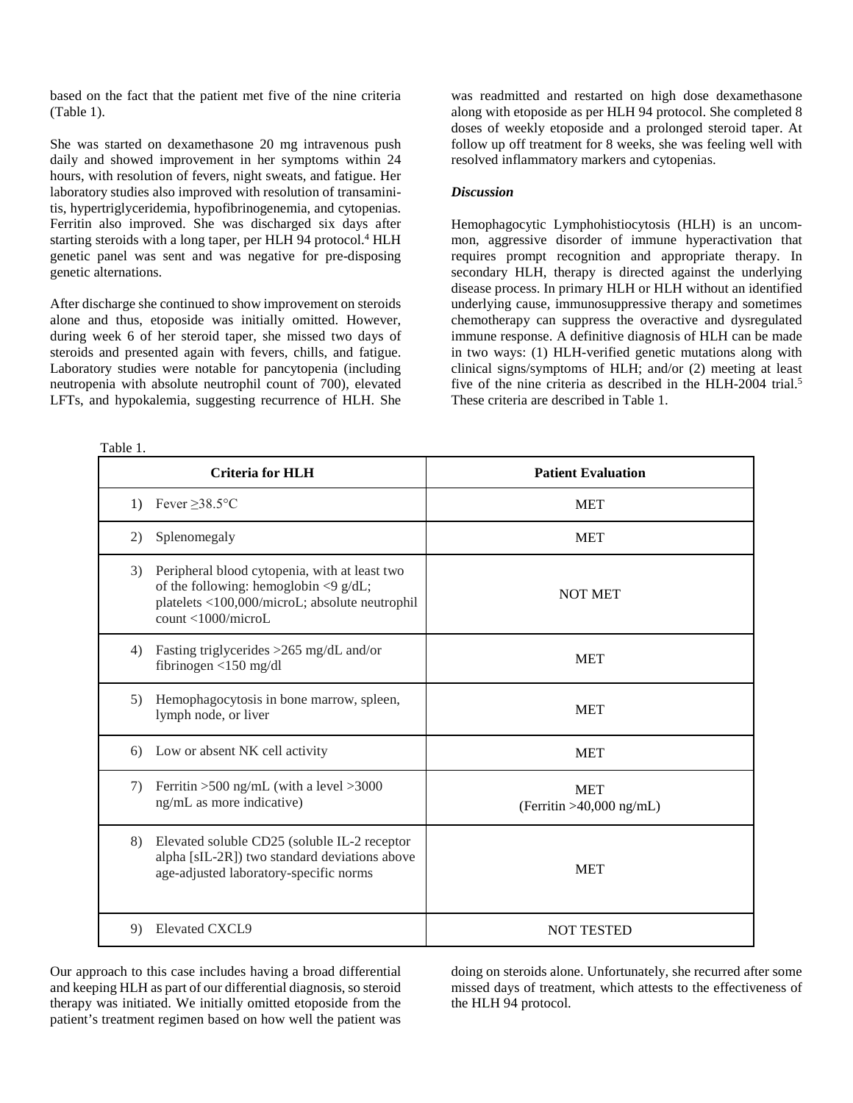based on the fact that the patient met five of the nine criteria (Table 1).

She was started on dexamethasone 20 mg intravenous push daily and showed improvement in her symptoms within 24 hours, with resolution of fevers, night sweats, and fatigue. Her laboratory studies also improved with resolution of transaminitis, hypertriglyceridemia, hypofibrinogenemia, and cytopenias. Ferritin also improved. She was discharged six days after starting steroids with a long taper, per HLH 94 protocol. <sup>4</sup> HLH genetic panel was sent and was negative for pre-disposing genetic alternations.

After discharge she continued to show improvement on steroids alone and thus, etoposide was initially omitted. However, during week 6 of her steroid taper, she missed two days of steroids and presented again with fevers, chills, and fatigue. Laboratory studies were notable for pancytopenia (including neutropenia with absolute neutrophil count of 700), elevated LFTs, and hypokalemia, suggesting recurrence of HLH. She

Table 1.

was readmitted and restarted on high dose dexamethasone along with etoposide as per HLH 94 protocol. She completed 8 doses of weekly etoposide and a prolonged steroid taper. At follow up off treatment for 8 weeks, she was feeling well with resolved inflammatory markers and cytopenias.

### *Discussion*

Hemophagocytic Lymphohistiocytosis (HLH) is an uncommon, aggressive disorder of immune hyperactivation that requires prompt recognition and appropriate therapy. In secondary HLH, therapy is directed against the underlying disease process. In primary HLH or HLH without an identified underlying cause, immunosuppressive therapy and sometimes chemotherapy can suppress the overactive and dysregulated immune response. A definitive diagnosis of HLH can be made in two ways: (1) HLH-verified genetic mutations along with clinical signs/symptoms of HLH; and/or (2) meeting at least five of the nine criteria as described in the HLH-2004 trial. 5 These criteria are described in Table 1.

| <b>Criteria for HLH</b>                                                                                                                                                                      | <b>Patient Evaluation</b>                |
|----------------------------------------------------------------------------------------------------------------------------------------------------------------------------------------------|------------------------------------------|
| Fever $\geq$ 38.5°C<br>$\left( \frac{1}{2} \right)$                                                                                                                                          | <b>MET</b>                               |
| Splenomegaly<br>2)                                                                                                                                                                           | <b>MET</b>                               |
| 3)<br>Peripheral blood cytopenia, with at least two<br>of the following: hemoglobin $\langle 9 \text{ g/dL} \rangle$<br>platelets <100,000/microL; absolute neutrophil<br>count <1000/microL | <b>NOT MET</b>                           |
| Fasting triglycerides >265 mg/dL and/or<br>4)<br>fibrinogen $<$ 150 mg/dl                                                                                                                    | <b>MET</b>                               |
| Hemophagocytosis in bone marrow, spleen,<br>5)<br>lymph node, or liver                                                                                                                       | <b>MET</b>                               |
| Low or absent NK cell activity<br>6)                                                                                                                                                         | <b>MET</b>                               |
| Ferritin $>500$ ng/mL (with a level $>3000$<br>7)<br>ng/mL as more indicative)                                                                                                               | <b>MET</b><br>(Ferritin $>40,000$ ng/mL) |
| 8)<br>Elevated soluble CD25 (soluble IL-2 receptor<br>alpha [sIL-2R]) two standard deviations above<br>age-adjusted laboratory-specific norms                                                | <b>MET</b>                               |
| <b>Elevated CXCL9</b><br>9)                                                                                                                                                                  | <b>NOT TESTED</b>                        |

Our approach to this case includes having a broad differential and keeping HLH as part of our differential diagnosis, so steroid therapy was initiated. We initially omitted etoposide from the patient's treatment regimen based on how well the patient was

doing on steroids alone. Unfortunately, she recurred after some missed days of treatment, which attests to the effectiveness of the HLH 94 protocol.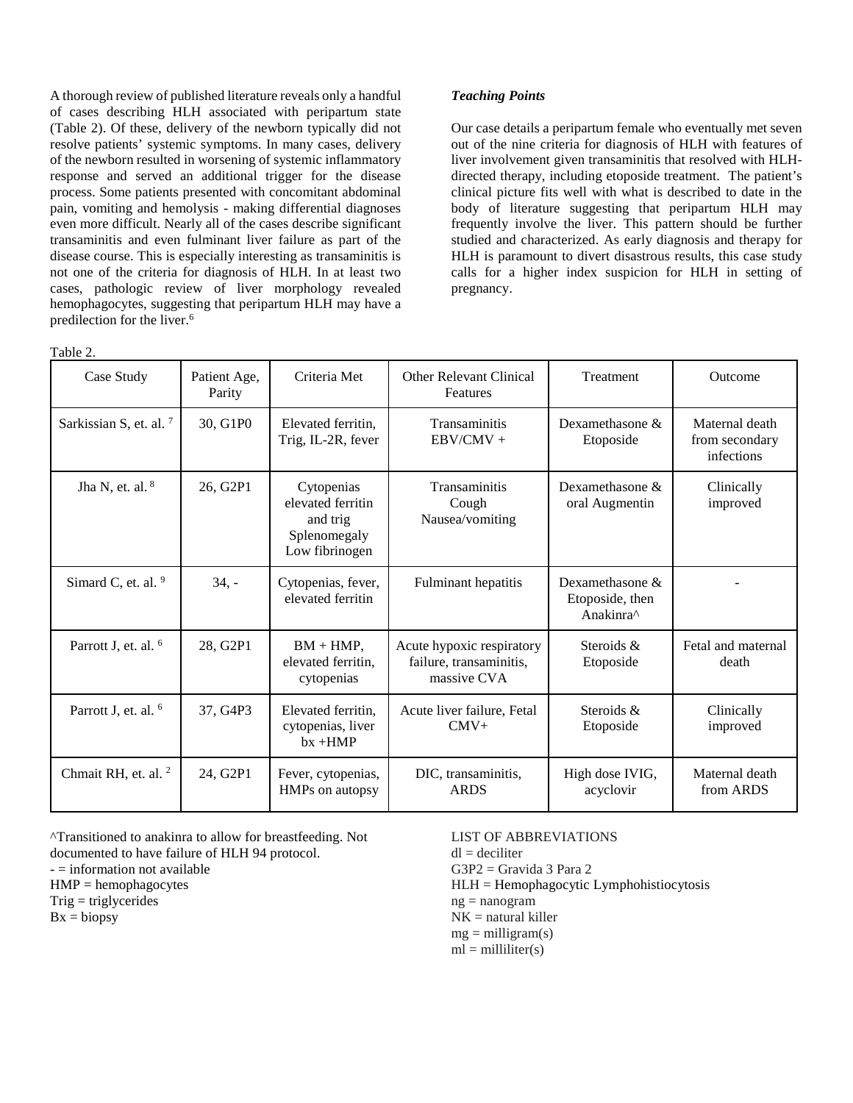A thorough review of published literature reveals only a handful of cases describing HLH associated with peripartum state (Table 2). Of these, delivery of the newborn typically did not resolve patients' systemic symptoms. In many cases, delivery of the newborn resulted in worsening of systemic inflammatory response and served an additional trigger for the disease process. Some patients presented with concomitant abdominal pain, vomiting and hemolysis - making differential diagnoses even more difficult. Nearly all of the cases describe significant transaminitis and even fulminant liver failure as part of the disease course. This is especially interesting as transaminitis is not one of the criteria for diagnosis of HLH. In at least two cases, pathologic review of liver morphology revealed hemophagocytes, suggesting that peripartum HLH may have a predilection for the liver. 6

Table 2.

### *Teaching Points*

Our case details a peripartum female who eventually met seven out of the nine criteria for diagnosis of HLH with features of liver involvement given transaminitis that resolved with HLHdirected therapy, including etoposide treatment. The patient's clinical picture fits well with what is described to date in the body of literature suggesting that peripartum HLH may frequently involve the liver. This pattern should be further studied and characterized. As early diagnosis and therapy for HLH is paramount to divert disastrous results, this case study calls for a higher index suspicion for HLH in setting of pregnancy.

| I AUIC 4.                          |                        |                                                                               |                                                                     |                                                                |                                                |
|------------------------------------|------------------------|-------------------------------------------------------------------------------|---------------------------------------------------------------------|----------------------------------------------------------------|------------------------------------------------|
| Case Study                         | Patient Age,<br>Parity | Criteria Met                                                                  | <b>Other Relevant Clinical</b><br>Features                          | <b>Treatment</b>                                               | Outcome                                        |
| Sarkissian S, et. al. <sup>7</sup> | 30, G1P0               | Elevated ferritin.<br>Trig, IL-2R, fever                                      | <b>Transaminitis</b><br>$EBV/CMV +$                                 | Dexamethasone &<br>Etoposide                                   | Maternal death<br>from secondary<br>infections |
| Jha N, et. al. $8$                 | 26, G2P1               | Cytopenias<br>elevated ferritin<br>and trig<br>Splenomegaly<br>Low fibrinogen | Transaminitis<br>Cough<br>Nausea/vomiting                           | Dexamethasone $\&$<br>oral Augmentin                           | Clinically<br>improved                         |
| Simard C, et. al. 9                | $34, -$                | Cytopenias, fever,<br>elevated ferritin                                       | Fulminant hepatitis                                                 | Dexamethasone $\&$<br>Etoposide, then<br>Anakinra <sup>^</sup> |                                                |
| Parrott J, et. al. <sup>6</sup>    | 28, G2P1               | $BM + HMP$ ,<br>elevated ferritin,<br>cytopenias                              | Acute hypoxic respiratory<br>failure, transaminitis,<br>massive CVA | Steroids &<br>Etoposide                                        | Fetal and maternal<br>death                    |
| Parrott J, et. al. <sup>6</sup>    | 37, G4P3               | Elevated ferritin,<br>cytopenias, liver<br>$bx + HMP$                         | Acute liver failure, Fetal<br>$CMV+$                                | Steroids &<br>Etoposide                                        | Clinically<br>improved                         |
| Chmait RH, et. al. <sup>2</sup>    | 24, G2P1               | Fever, cytopenias,<br>HMPs on autopsy                                         | DIC, transaminitis,<br><b>ARDS</b>                                  | High dose IVIG,<br>acyclovir                                   | Maternal death<br>from ARDS                    |

^Transitioned to anakinra to allow for breastfeeding. Not documented to have failure of HLH 94 protocol.

 $-$  = information not available

HMP = hemophagocytes

 $Trig = triglycerides$ 

 $Bx = biopy$ 

## LIST OF ABBREVIATIONS

 $dl = deciliter$ 

 $G3P2 = Gravida 3 Para 2$ 

HLH = Hemophagocytic Lymphohistiocytosis

ng = nanogram

 $NK =$  natural killer

 $mg =$  milligram(s)

 $ml = milliliter(s)$